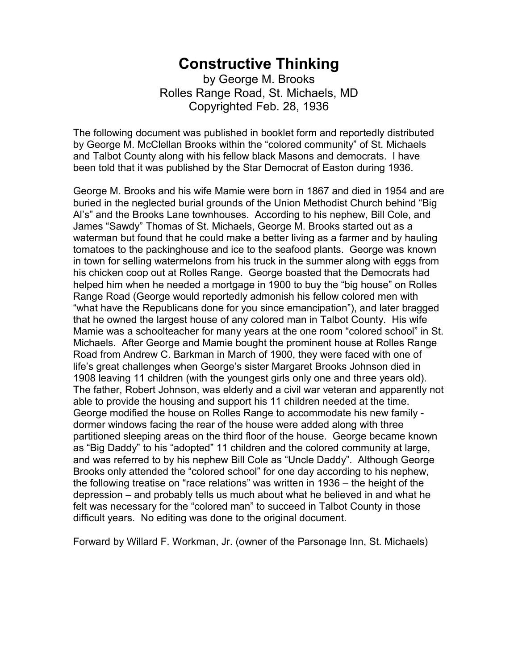## **Constructive Thinking**

by George M. Brooks Rolles Range Road, St. Michaels, MD Copyrighted Feb. 28, 1936

The following document was published in booklet form and reportedly distributed by George M. McClellan Brooks within the "colored community" of St. Michaels and Talbot County along with his fellow black Masons and democrats. I have been told that it was published by the Star Democrat of Easton during 1936.

George M. Brooks and his wife Mamie were born in 1867 and died in 1954 and are buried in the neglected burial grounds of the Union Methodist Church behind "Big Al's" and the Brooks Lane townhouses. According to his nephew, Bill Cole, and James "Sawdy" Thomas of St. Michaels, George M. Brooks started out as a waterman but found that he could make a better living as a farmer and by hauling tomatoes to the packinghouse and ice to the seafood plants. George was known in town for selling watermelons from his truck in the summer along with eggs from his chicken coop out at Rolles Range. George boasted that the Democrats had helped him when he needed a mortgage in 1900 to buy the "big house" on Rolles Range Road (George would reportedly admonish his fellow colored men with "what have the Republicans done for you since emancipation"), and later bragged that he owned the largest house of any colored man in Talbot County. His wife Mamie was a schoolteacher for many years at the one room "colored school" in St. Michaels. After George and Mamie bought the prominent house at Rolles Range Road from Andrew C. Barkman in March of 1900, they were faced with one of life's great challenges when George's sister Margaret Brooks Johnson died in 1908 leaving 11 children (with the youngest girls only one and three years old). The father, Robert Johnson, was elderly and a civil war veteran and apparently not able to provide the housing and support his 11 children needed at the time. George modified the house on Rolles Range to accommodate his new family dormer windows facing the rear of the house were added along with three partitioned sleeping areas on the third floor of the house. George became known as "Big Daddy" to his "adopted" 11 children and the colored community at large, and was referred to by his nephew Bill Cole as "Uncle Daddy". Although George Brooks only attended the "colored school" for one day according to his nephew, the following treatise on "race relations" was written in 1936 – the height of the depression – and probably tells us much about what he believed in and what he felt was necessary for the "colored man" to succeed in Talbot County in those difficult years. No editing was done to the original document.

Forward by Willard F. Workman, Jr. (owner of the Parsonage Inn, St. Michaels)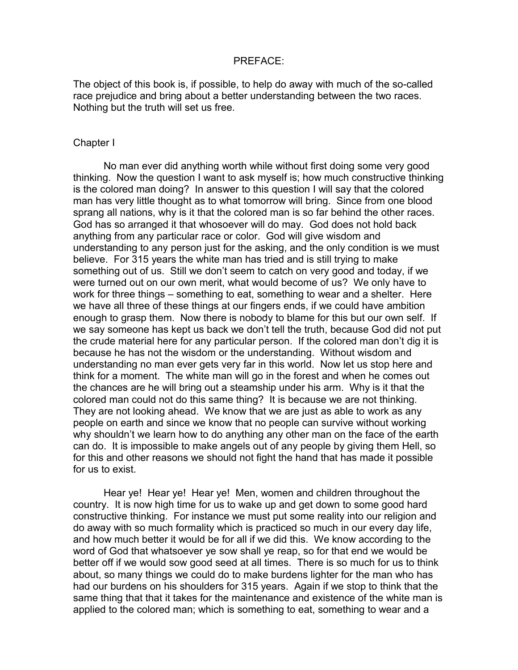## PREFACE:

The object of this book is, if possible, to help do away with much of the so-called race prejudice and bring about a better understanding between the two races. Nothing but the truth will set us free.

## Chapter I

No man ever did anything worth while without first doing some very good thinking. Now the question I want to ask myself is; how much constructive thinking is the colored man doing? In answer to this question I will say that the colored man has very little thought as to what tomorrow will bring. Since from one blood sprang all nations, why is it that the colored man is so far behind the other races. God has so arranged it that whosoever will do may. God does not hold back anything from any particular race or color. God will give wisdom and understanding to any person just for the asking, and the only condition is we must believe. For 315 years the white man has tried and is still trying to make something out of us. Still we don't seem to catch on very good and today, if we were turned out on our own merit, what would become of us? We only have to work for three things – something to eat, something to wear and a shelter. Here we have all three of these things at our fingers ends, if we could have ambition enough to grasp them. Now there is nobody to blame for this but our own self. If we say someone has kept us back we don't tell the truth, because God did not put the crude material here for any particular person. If the colored man don't dig it is because he has not the wisdom or the understanding. Without wisdom and understanding no man ever gets very far in this world. Now let us stop here and think for a moment. The white man will go in the forest and when he comes out the chances are he will bring out a steamship under his arm. Why is it that the colored man could not do this same thing? It is because we are not thinking. They are not looking ahead. We know that we are just as able to work as any people on earth and since we know that no people can survive without working why shouldn't we learn how to do anything any other man on the face of the earth can do. It is impossible to make angels out of any people by giving them Hell, so for this and other reasons we should not fight the hand that has made it possible for us to exist.

Hear ye! Hear ye! Hear ye! Men, women and children throughout the country. It is now high time for us to wake up and get down to some good hard constructive thinking. For instance we must put some reality into our religion and do away with so much formality which is practiced so much in our every day life, and how much better it would be for all if we did this. We know according to the word of God that whatsoever ye sow shall ye reap, so for that end we would be better off if we would sow good seed at all times. There is so much for us to think about, so many things we could do to make burdens lighter for the man who has had our burdens on his shoulders for 315 years. Again if we stop to think that the same thing that that it takes for the maintenance and existence of the white man is applied to the colored man; which is something to eat, something to wear and a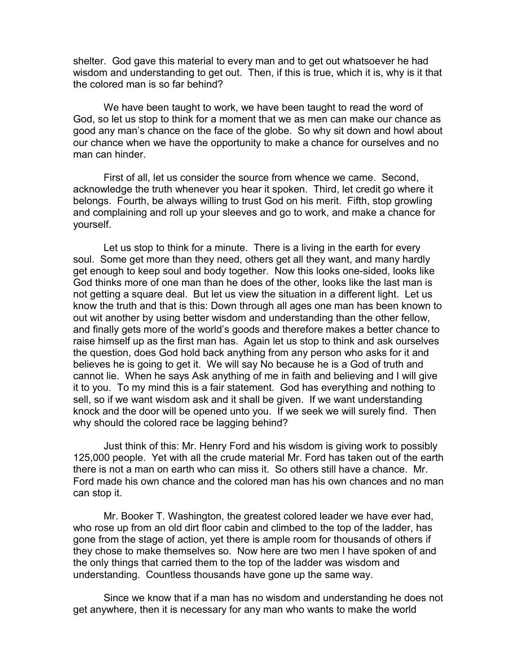shelter. God gave this material to every man and to get out whatsoever he had wisdom and understanding to get out. Then, if this is true, which it is, why is it that the colored man is so far behind?

We have been taught to work, we have been taught to read the word of God, so let us stop to think for a moment that we as men can make our chance as good any man's chance on the face of the globe. So why sit down and howl about our chance when we have the opportunity to make a chance for ourselves and no man can hinder.

First of all, let us consider the source from whence we came. Second, acknowledge the truth whenever you hear it spoken. Third, let credit go where it belongs. Fourth, be always willing to trust God on his merit. Fifth, stop growling and complaining and roll up your sleeves and go to work, and make a chance for yourself.

Let us stop to think for a minute. There is a living in the earth for every soul. Some get more than they need, others get all they want, and many hardly get enough to keep soul and body together. Now this looks one-sided, looks like God thinks more of one man than he does of the other, looks like the last man is not getting a square deal. But let us view the situation in a different light. Let us know the truth and that is this: Down through all ages one man has been known to out wit another by using better wisdom and understanding than the other fellow, and finally gets more of the world's goods and therefore makes a better chance to raise himself up as the first man has. Again let us stop to think and ask ourselves the question, does God hold back anything from any person who asks for it and believes he is going to get it. We will say No because he is a God of truth and cannot lie. When he says Ask anything of me in faith and believing and I will give it to you. To my mind this is a fair statement. God has everything and nothing to sell, so if we want wisdom ask and it shall be given. If we want understanding knock and the door will be opened unto you. If we seek we will surely find. Then why should the colored race be lagging behind?

Just think of this: Mr. Henry Ford and his wisdom is giving work to possibly 125,000 people. Yet with all the crude material Mr. Ford has taken out of the earth there is not a man on earth who can miss it. So others still have a chance. Mr. Ford made his own chance and the colored man has his own chances and no man can stop it.

Mr. Booker T. Washington, the greatest colored leader we have ever had, who rose up from an old dirt floor cabin and climbed to the top of the ladder, has gone from the stage of action, yet there is ample room for thousands of others if they chose to make themselves so. Now here are two men I have spoken of and the only things that carried them to the top of the ladder was wisdom and understanding. Countless thousands have gone up the same way.

Since we know that if a man has no wisdom and understanding he does not get anywhere, then it is necessary for any man who wants to make the world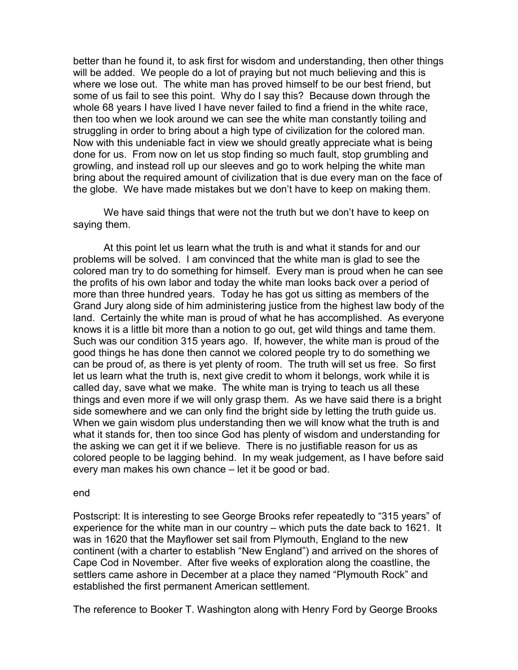better than he found it, to ask first for wisdom and understanding, then other things will be added. We people do a lot of praying but not much believing and this is where we lose out. The white man has proved himself to be our best friend, but some of us fail to see this point. Why do I say this? Because down through the whole 68 years I have lived I have never failed to find a friend in the white race, then too when we look around we can see the white man constantly toiling and struggling in order to bring about a high type of civilization for the colored man. Now with this undeniable fact in view we should greatly appreciate what is being done for us. From now on let us stop finding so much fault, stop grumbling and growling, and instead roll up our sleeves and go to work helping the white man bring about the required amount of civilization that is due every man on the face of the globe. We have made mistakes but we don't have to keep on making them.

We have said things that were not the truth but we don't have to keep on saying them.

At this point let us learn what the truth is and what it stands for and our problems will be solved. I am convinced that the white man is glad to see the colored man try to do something for himself. Every man is proud when he can see the profits of his own labor and today the white man looks back over a period of more than three hundred years. Today he has got us sitting as members of the Grand Jury along side of him administering justice from the highest law body of the land. Certainly the white man is proud of what he has accomplished. As everyone knows it is a little bit more than a notion to go out, get wild things and tame them. Such was our condition 315 years ago. If, however, the white man is proud of the good things he has done then cannot we colored people try to do something we can be proud of, as there is yet plenty of room. The truth will set us free. So first let us learn what the truth is, next give credit to whom it belongs, work while it is called day, save what we make. The white man is trying to teach us all these things and even more if we will only grasp them. As we have said there is a bright side somewhere and we can only find the bright side by letting the truth guide us. When we gain wisdom plus understanding then we will know what the truth is and what it stands for, then too since God has plenty of wisdom and understanding for the asking we can get it if we believe. There is no justifiable reason for us as colored people to be lagging behind. In my weak judgement, as I have before said every man makes his own chance – let it be good or bad.

## end

Postscript: It is interesting to see George Brooks refer repeatedly to "315 years" of experience for the white man in our country – which puts the date back to 1621. It was in 1620 that the Mayflower set sail from Plymouth, England to the new continent (with a charter to establish "New England") and arrived on the shores of Cape Cod in November. After five weeks of exploration along the coastline, the settlers came ashore in December at a place they named "Plymouth Rock" and established the first permanent American settlement.

The reference to Booker T. Washington along with Henry Ford by George Brooks